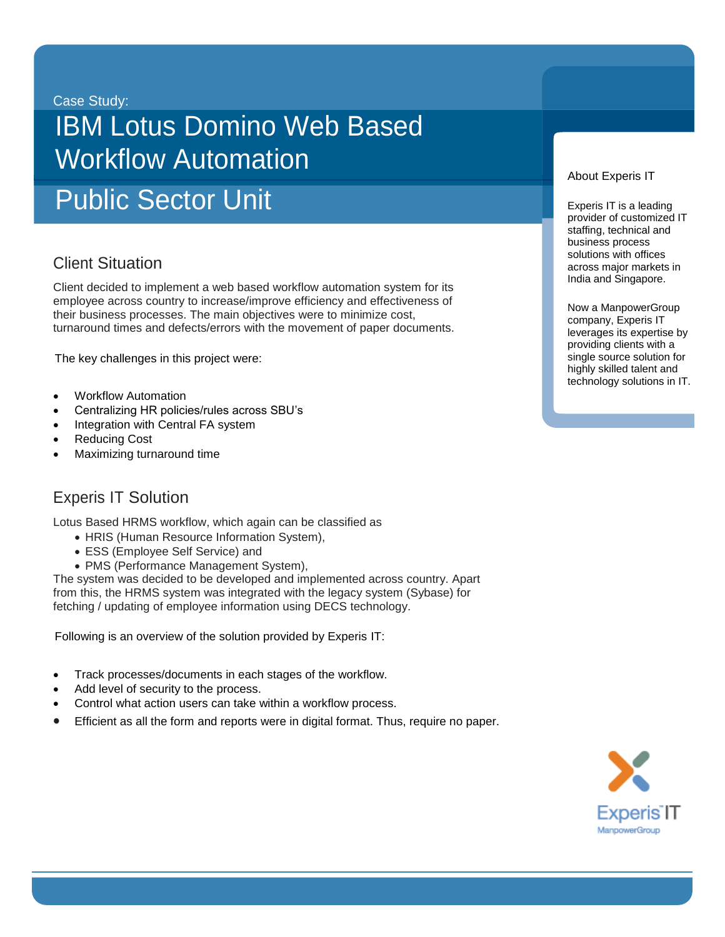Case Study:

# IBM Lotus Domino Web Based Workflow Automation

Public Sector Unit

# **Client Situation**

Client decided to implement a web based workflow automation system for its employee across country to increase/improve efficiency and effectiveness of their business processes. The main objectives were to minimize cost, turnaround times and defects/errors with the movement of paper documents.

The key challenges in this project were:

- Workflow Automation
- Centralizing HR policies/rules across SBU's
- Integration with Central FA system
- Reducing Cost
- Maximizing turnaround time

### Experis IT Solution

Lotus Based HRMS workflow, which again can be classified as

- HRIS (Human Resource Information System),
- ESS (Employee Self Service) and
- PMS (Performance Management System),

The system was decided to be developed and implemented across country. Apart from this, the HRMS system was integrated with the legacy system (Sybase) for fetching / updating of employee information using DECS technology.

Following is an overview of the solution provided by Experis IT:

- Track processes/documents in each stages of the workflow.
- Add level of security to the process.
- Control what action users can take within a workflow process.
- Efficient as all the form and reports were in digital format. Thus, require no paper.

#### About Experis IT

Experis IT is a leading provider of customized IT staffing, technical and business process solutions with offices across major markets in India and Singapore.

Now a ManpowerGroup company, Experis IT leverages its expertise by providing clients with a single source solution for highly skilled talent and technology solutions in IT.

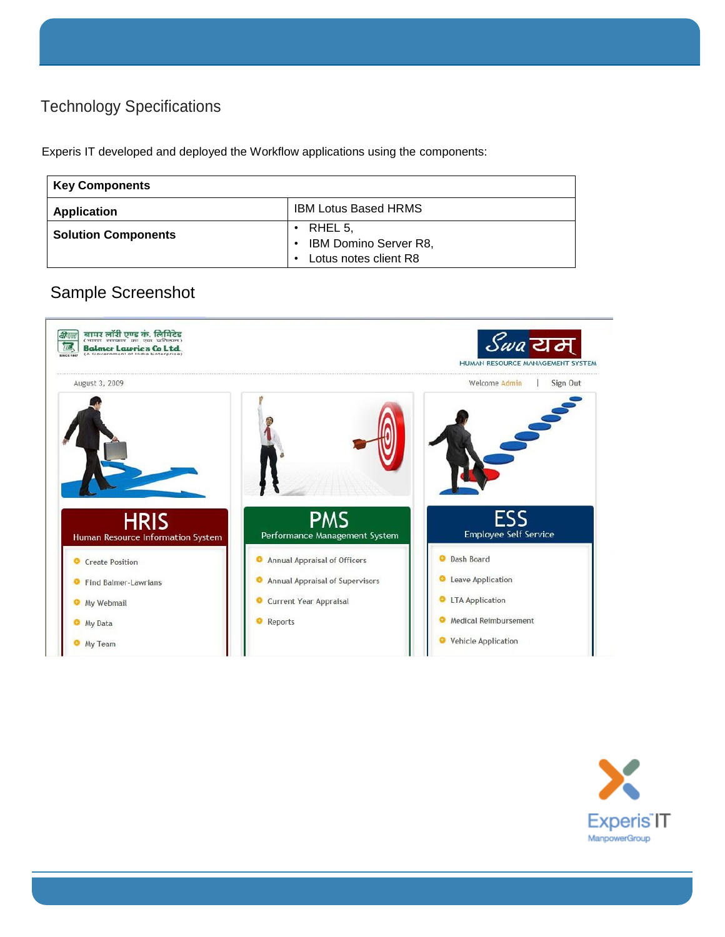# Technology Specifications

Experis IT developed and deployed the Workflow applications using the components:

| <b>Key Components</b>      |                                                |
|----------------------------|------------------------------------------------|
| <b>Application</b>         | <b>IBM Lotus Based HRMS</b>                    |
| <b>Solution Components</b> | RHEL 5,                                        |
|                            | IBM Domino Server R8,<br>Lotus notes client R8 |

# Sample Screenshot